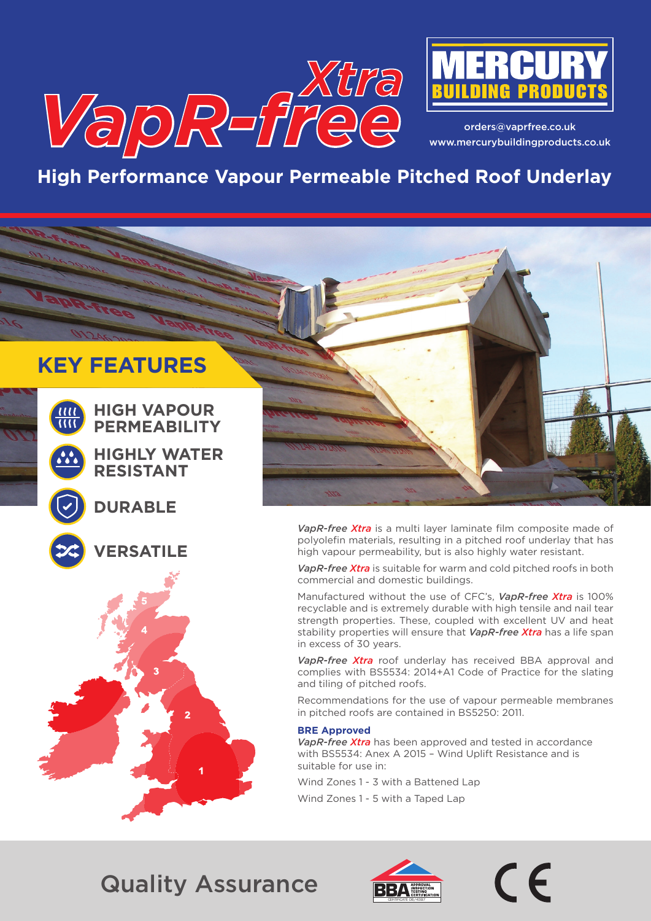



orders@vaprfree.co.uk www.mercurybuildingproducts.co.uk

# **High Performance Vapour Permeable Pitched Roof Underlay**

# **KEY FEATURES**



**HIGH VAPOUR PERMEABILITY**

**HIGHLY WATER RESISTANT**

### **DURABLE**



**ERSATILE** 



*VapR-free Xtra* is a multi layer laminate film composite made of polyolefin materials, resulting in a pitched roof underlay that has high vapour permeability, but is also highly water resistant.

*VapR-free Xtra* is suitable for warm and cold pitched roofs in both commercial and domestic buildings.

Manufactured without the use of CFC's, *VapR-free Xtra* is 100% recyclable and is extremely durable with high tensile and nail tear strength properties. These, coupled with excellent UV and heat stability properties will ensure that *VapR-free Xtra* has a life span in excess of 30 years.

*VapR-free Xtra* roof underlay has received BBA approval and complies with BS5534: 2014+A1 Code of Practice for the slating and tiling of pitched roofs.

Recommendations for the use of vapour permeable membranes in pitched roofs are contained in BS5250: 2011.

#### **BRE Approved**

*VapR-free Xtra* has been approved and tested in accordance with BS5534: Anex A 2015 – Wind Uplift Resistance and is suitable for use in:

Wind Zones 1 - 3 with a Battened Lap

Wind Zones 1 - 5 with a Taped Lap

# Quality Assurance